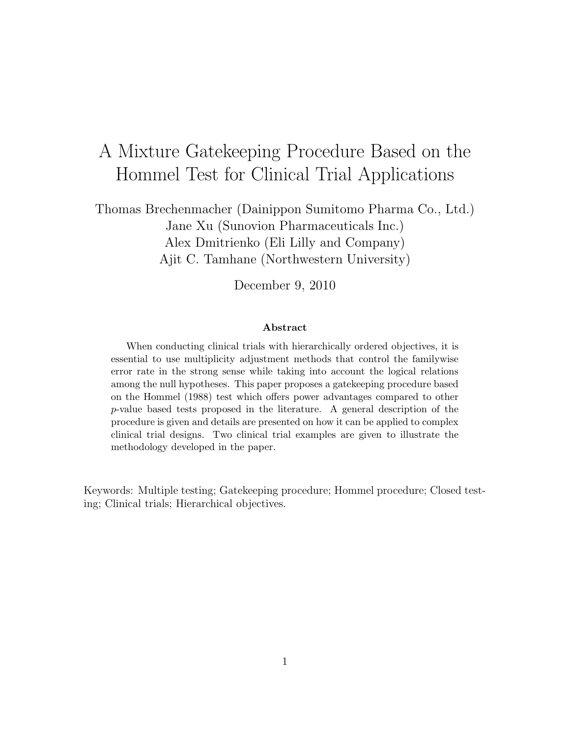# A Mixture Gatekeeping Procedure Based on the Hommel Test for Clinical Trial Applications

Thomas Brechenmacher (Dainippon Sumitomo Pharma Co., Ltd.) Jane Xu (Sunovion Pharmaceuticals Inc.) Alex Dmitrienko (Eli Lilly and Company) Ajit C. Tamhane (Northwestern University)

December 9, 2010

#### Abstract

When conducting clinical trials with hierarchically ordered objectives, it is essential to use multiplicity adjustment methods that control the familywise error rate in the strong sense while taking into account the logical relations among the null hypotheses. This paper proposes a gatekeeping procedure based on the Hommel (1988) test which offers power advantages compared to other p-value based tests proposed in the literature. A general description of the procedure is given and details are presented on how it can be applied to complex clinical trial designs. Two clinical trial examples are given to illustrate the methodology developed in the paper.

Keywords: Multiple testing; Gatekeeping procedure; Hommel procedure; Closed testing; Clinical trials; Hierarchical objectives.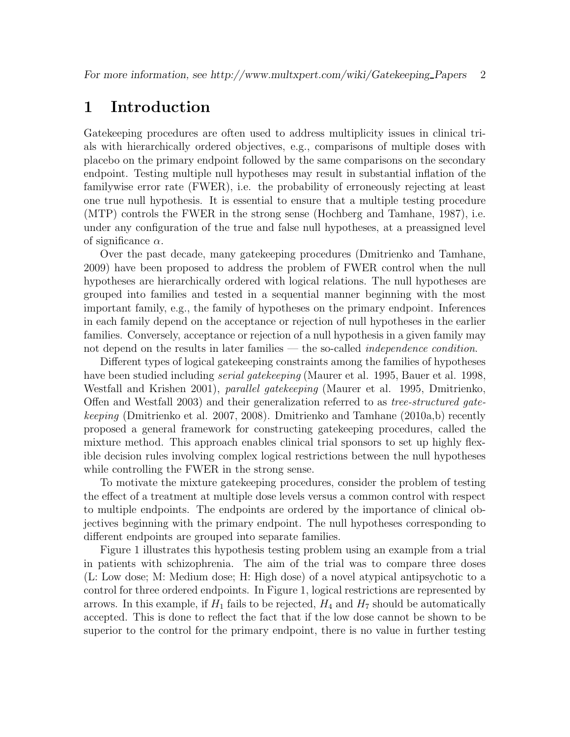## 1 Introduction

Gatekeeping procedures are often used to address multiplicity issues in clinical trials with hierarchically ordered objectives, e.g., comparisons of multiple doses with placebo on the primary endpoint followed by the same comparisons on the secondary endpoint. Testing multiple null hypotheses may result in substantial inflation of the familywise error rate (FWER), i.e. the probability of erroneously rejecting at least one true null hypothesis. It is essential to ensure that a multiple testing procedure (MTP) controls the FWER in the strong sense (Hochberg and Tamhane, 1987), i.e. under any configuration of the true and false null hypotheses, at a preassigned level of significance  $\alpha$ .

Over the past decade, many gatekeeping procedures (Dmitrienko and Tamhane, 2009) have been proposed to address the problem of FWER control when the null hypotheses are hierarchically ordered with logical relations. The null hypotheses are grouped into families and tested in a sequential manner beginning with the most important family, e.g., the family of hypotheses on the primary endpoint. Inferences in each family depend on the acceptance or rejection of null hypotheses in the earlier families. Conversely, acceptance or rejection of a null hypothesis in a given family may not depend on the results in later families — the so-called *independence condition*.

Different types of logical gatekeeping constraints among the families of hypotheses have been studied including *serial gatekeeping* (Maurer et al. 1995, Bauer et al. 1998, Westfall and Krishen 2001), *parallel gatekeeping* (Maurer et al. 1995, Dmitrienko, Offen and Westfall 2003) and their generalization referred to as tree-structured gatekeeping (Dmitrienko et al. 2007, 2008). Dmitrienko and Tamhane (2010a,b) recently proposed a general framework for constructing gatekeeping procedures, called the mixture method. This approach enables clinical trial sponsors to set up highly flexible decision rules involving complex logical restrictions between the null hypotheses while controlling the FWER in the strong sense.

To motivate the mixture gatekeeping procedures, consider the problem of testing the effect of a treatment at multiple dose levels versus a common control with respect to multiple endpoints. The endpoints are ordered by the importance of clinical objectives beginning with the primary endpoint. The null hypotheses corresponding to different endpoints are grouped into separate families.

Figure 1 illustrates this hypothesis testing problem using an example from a trial in patients with schizophrenia. The aim of the trial was to compare three doses (L: Low dose; M: Medium dose; H: High dose) of a novel atypical antipsychotic to a control for three ordered endpoints. In Figure 1, logical restrictions are represented by arrows. In this example, if  $H_1$  fails to be rejected,  $H_4$  and  $H_7$  should be automatically accepted. This is done to reflect the fact that if the low dose cannot be shown to be superior to the control for the primary endpoint, there is no value in further testing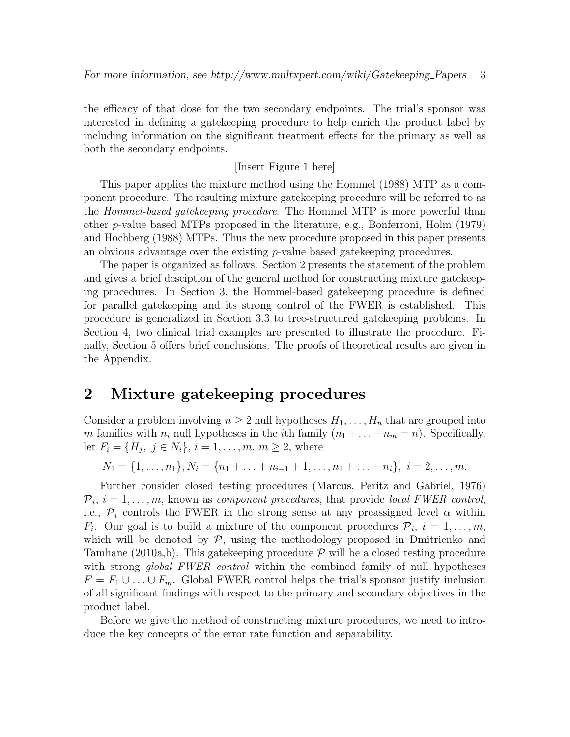the efficacy of that dose for the two secondary endpoints. The trial's sponsor was interested in defining a gatekeeping procedure to help enrich the product label by including information on the significant treatment effects for the primary as well as both the secondary endpoints.

#### [Insert Figure 1 here]

This paper applies the mixture method using the Hommel (1988) MTP as a component procedure. The resulting mixture gatekeeping procedure will be referred to as the Hommel-based gatekeeping procedure. The Hommel MTP is more powerful than other p-value based MTPs proposed in the literature, e.g., Bonferroni, Holm (1979) and Hochberg (1988) MTPs. Thus the new procedure proposed in this paper presents an obvious advantage over the existing  $p$ -value based gatekeeping procedures.

The paper is organized as follows: Section 2 presents the statement of the problem and gives a brief desciption of the general method for constructing mixture gatekeeping procedures. In Section 3, the Hommel-based gatekeeping procedure is defined for parallel gatekeeping and its strong control of the FWER is established. This procedure is generalized in Section 3.3 to tree-structured gatekeeping problems. In Section 4, two clinical trial examples are presented to illustrate the procedure. Finally, Section 5 offers brief conclusions. The proofs of theoretical results are given in the Appendix.

## 2 Mixture gatekeeping procedures

Consider a problem involving  $n \geq 2$  null hypotheses  $H_1, \ldots, H_n$  that are grouped into m families with  $n_i$  null hypotheses in the *i*th family  $(n_1 + \ldots + n_m = n)$ . Specifically, let  $F_i = \{H_j, j \in N_i\}, i = 1, ..., m, m \ge 2$ , where

 $N_1 = \{1, \ldots, n_1\}, N_i = \{n_1 + \ldots + n_{i-1} + 1, \ldots, n_1 + \ldots + n_i\}, i = 2, \ldots, m.$ 

Further consider closed testing procedures (Marcus, Peritz and Gabriel, 1976)  $\mathcal{P}_i$ ,  $i = 1, \ldots, m$ , known as *component procedures*, that provide *local FWER control*, i.e.,  $\mathcal{P}_i$  controls the FWER in the strong sense at any preassigned level  $\alpha$  within  $F_i$ . Our goal is to build a mixture of the component procedures  $\mathcal{P}_i$ ,  $i = 1, \ldots, m$ , which will be denoted by  $\mathcal{P}$ , using the methodology proposed in Dmitrienko and Tamhane (2010a,b). This gate keeping procedure  $\mathcal P$  will be a closed testing procedure with strong *global FWER control* within the combined family of null hypotheses  $F = F_1 \cup \ldots \cup F_m$ . Global FWER control helps the trial's sponsor justify inclusion of all significant findings with respect to the primary and secondary objectives in the product label.

Before we give the method of constructing mixture procedures, we need to introduce the key concepts of the error rate function and separability.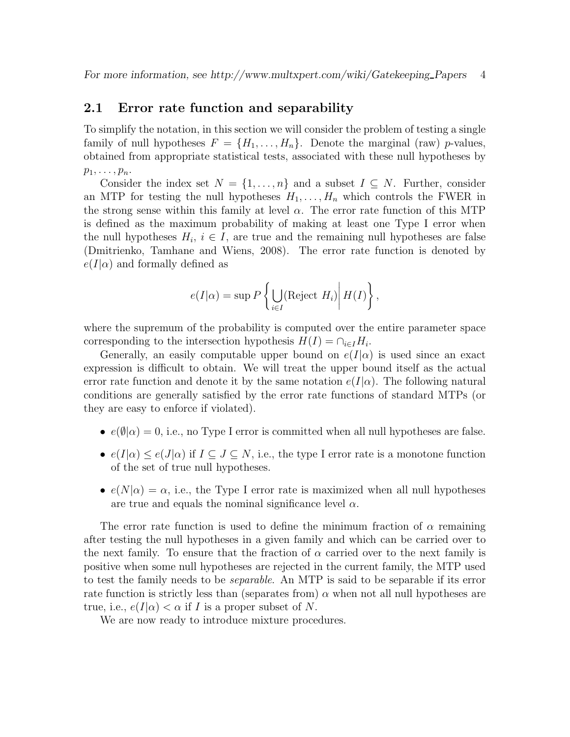### 2.1 Error rate function and separability

To simplify the notation, in this section we will consider the problem of testing a single family of null hypotheses  $F = \{H_1, \ldots, H_n\}$ . Denote the marginal (raw) p-values, obtained from appropriate statistical tests, associated with these null hypotheses by  $p_1, \ldots, p_n$ .

Consider the index set  $N = \{1, \ldots, n\}$  and a subset  $I \subseteq N$ . Further, consider an MTP for testing the null hypotheses  $H_1, \ldots, H_n$  which controls the FWER in the strong sense within this family at level  $\alpha$ . The error rate function of this MTP is defined as the maximum probability of making at least one Type I error when the null hypotheses  $H_i$ ,  $i \in I$ , are true and the remaining null hypotheses are false (Dmitrienko, Tamhane and Wiens, 2008). The error rate function is denoted by  $e(I|\alpha)$  and formally defined as

$$
e(I|\alpha) = \sup P\left\{\bigcup_{i \in I} (\text{Reject } H_i) \middle| H(I)\right\},\
$$

where the supremum of the probability is computed over the entire parameter space corresponding to the intersection hypothesis  $H(I) = \bigcap_{i \in I} H_i$ .

Generally, an easily computable upper bound on  $e(I|\alpha)$  is used since an exact expression is difficult to obtain. We will treat the upper bound itself as the actual error rate function and denote it by the same notation  $e(I|\alpha)$ . The following natural conditions are generally satisfied by the error rate functions of standard MTPs (or they are easy to enforce if violated).

- $e(\emptyset|\alpha) = 0$ , i.e., no Type I error is committed when all null hypotheses are false.
- $e(I|\alpha) \leq e(J|\alpha)$  if  $I \subseteq J \subseteq N$ , i.e., the type I error rate is a monotone function of the set of true null hypotheses.
- $e(N|\alpha) = \alpha$ , i.e., the Type I error rate is maximized when all null hypotheses are true and equals the nominal significance level  $\alpha$ .

The error rate function is used to define the minimum fraction of  $\alpha$  remaining after testing the null hypotheses in a given family and which can be carried over to the next family. To ensure that the fraction of  $\alpha$  carried over to the next family is positive when some null hypotheses are rejected in the current family, the MTP used to test the family needs to be separable. An MTP is said to be separable if its error rate function is strictly less than (separates from)  $\alpha$  when not all null hypotheses are true, i.e.,  $e(I|\alpha) < \alpha$  if I is a proper subset of N.

We are now ready to introduce mixture procedures.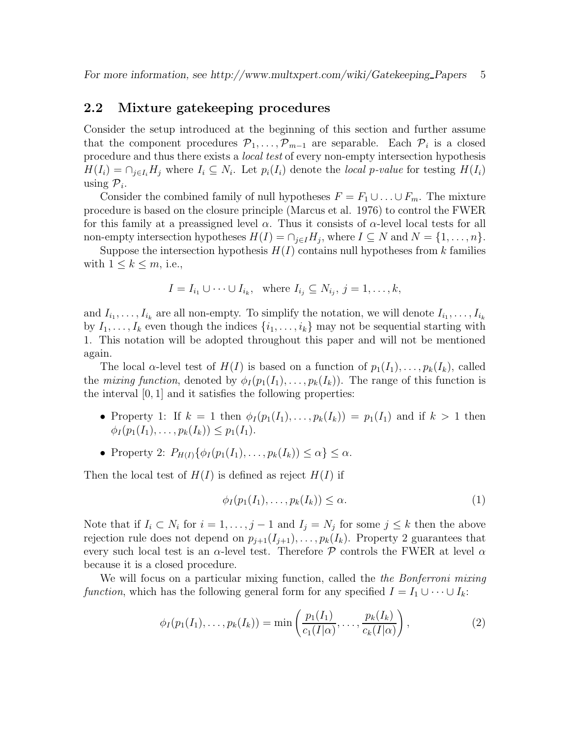### 2.2 Mixture gatekeeping procedures

Consider the setup introduced at the beginning of this section and further assume that the component procedures  $\mathcal{P}_1, \ldots, \mathcal{P}_{m-1}$  are separable. Each  $\mathcal{P}_i$  is a closed procedure and thus there exists a *local test* of every non-empty intersection hypothesis  $H(I_i) = \bigcap_{j \in I_i} H_j$  where  $I_i \subseteq N_i$ . Let  $p_i(I_i)$  denote the local p-value for testing  $H(I_i)$ using  $\mathcal{P}_i$ .

Consider the combined family of null hypotheses  $F = F_1 \cup \ldots \cup F_m$ . The mixture procedure is based on the closure principle (Marcus et al. 1976) to control the FWER for this family at a preassigned level  $\alpha$ . Thus it consists of  $\alpha$ -level local tests for all non-empty intersection hypotheses  $H(I) = \cap_{j \in I} H_j$ , where  $I \subseteq N$  and  $N = \{1, \ldots, n\}$ .

Suppose the intersection hypothesis  $H(I)$  contains null hypotheses from k families with  $1 \leq k \leq m$ , i.e.,

$$
I = I_{i_1} \cup \cdots \cup I_{i_k}, \text{ where } I_{i_j} \subseteq N_{i_j}, j = 1, \ldots, k,
$$

and  $I_{i_1}, \ldots, I_{i_k}$  are all non-empty. To simplify the notation, we will denote  $I_{i_1}, \ldots, I_{i_k}$ by  $I_1, \ldots, I_k$  even though the indices  $\{i_1, \ldots, i_k\}$  may not be sequential starting with 1. This notation will be adopted throughout this paper and will not be mentioned again.

The local  $\alpha$ -level test of  $H(I)$  is based on a function of  $p_1(I_1), \ldots, p_k(I_k)$ , called the mixing function, denoted by  $\phi_I(p_1(I_1), \ldots, p_k(I_k))$ . The range of this function is the interval [0, 1] and it satisfies the following properties:

- Property 1: If  $k = 1$  then  $\phi_I(p_1(I_1), \ldots, p_k(I_k)) = p_1(I_1)$  and if  $k > 1$  then  $\phi_I(p_1(I_1), \ldots, p_k(I_k)) \leq p_1(I_1).$
- Property 2:  $P_{H(I)}\{\phi_I(p_1(I_1),\ldots,p_k(I_k))\leq \alpha\}\leq \alpha$ .

Then the local test of  $H(I)$  is defined as reject  $H(I)$  if

$$
\phi_I(p_1(I_1), \dots, p_k(I_k)) \le \alpha. \tag{1}
$$

Note that if  $I_i \subset N_i$  for  $i = 1, \ldots, j - 1$  and  $I_j = N_j$  for some  $j \leq k$  then the above rejection rule does not depend on  $p_{j+1}(I_{j+1}), \ldots, p_k(I_k)$ . Property 2 guarantees that every such local test is an  $\alpha$ -level test. Therefore P controls the FWER at level  $\alpha$ because it is a closed procedure.

We will focus on a particular mixing function, called the *the Bonferroni mixing* function, which has the following general form for any specified  $I = I_1 \cup \cdots \cup I_k$ :

$$
\phi_I(p_1(I_1),\ldots,p_k(I_k)) = \min\left(\frac{p_1(I_1)}{c_1(I|\alpha)},\ldots,\frac{p_k(I_k)}{c_k(I|\alpha)}\right),\tag{2}
$$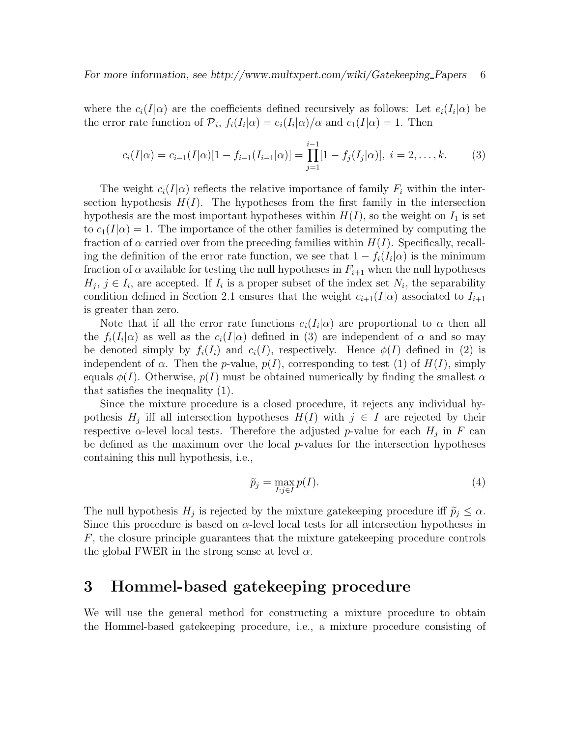where the  $c_i(I|\alpha)$  are the coefficients defined recursively as follows: Let  $e_i(I_i|\alpha)$  be the error rate function of  $\mathcal{P}_i$ ,  $f_i(I_i|\alpha) = e_i(I_i|\alpha)/\alpha$  and  $c_1(I|\alpha) = 1$ . Then

$$
c_i(I|\alpha) = c_{i-1}(I|\alpha)[1 - f_{i-1}(I_{i-1}|\alpha)] = \prod_{j=1}^{i-1} [1 - f_j(I_j|\alpha)], \ i = 2, \dots, k.
$$
 (3)

The weight  $c_i(I|\alpha)$  reflects the relative importance of family  $F_i$  within the intersection hypothesis  $H(I)$ . The hypotheses from the first family in the intersection hypothesis are the most important hypotheses within  $H(I)$ , so the weight on  $I_1$  is set to  $c_1(I|\alpha) = 1$ . The importance of the other families is determined by computing the fraction of  $\alpha$  carried over from the preceding families within  $H(I)$ . Specifically, recalling the definition of the error rate function, we see that  $1 - f_i(I_i|\alpha)$  is the minimum fraction of  $\alpha$  available for testing the null hypotheses in  $F_{i+1}$  when the null hypotheses  $H_j$ ,  $j \in I_i$ , are accepted. If  $I_i$  is a proper subset of the index set  $N_i$ , the separability condition defined in Section 2.1 ensures that the weight  $c_{i+1}(I|\alpha)$  associated to  $I_{i+1}$ is greater than zero.

Note that if all the error rate functions  $e_i(I_i|\alpha)$  are proportional to  $\alpha$  then all the  $f_i(I_i|\alpha)$  as well as the  $c_i(I|\alpha)$  defined in (3) are independent of  $\alpha$  and so may be denoted simply by  $f_i(I_i)$  and  $c_i(I)$ , respectively. Hence  $\phi(I)$  defined in (2) is independent of  $\alpha$ . Then the p-value,  $p(I)$ , corresponding to test (1) of  $H(I)$ , simply equals  $\phi(I)$ . Otherwise,  $p(I)$  must be obtained numerically by finding the smallest  $\alpha$ that satisfies the inequality (1).

Since the mixture procedure is a closed procedure, it rejects any individual hypothesis  $H_j$  iff all intersection hypotheses  $H(I)$  with  $j \in I$  are rejected by their respective  $\alpha$ -level local tests. Therefore the adjusted p-value for each  $H_j$  in F can be defined as the maximum over the local  $p$ -values for the intersection hypotheses containing this null hypothesis, i.e.,

$$
\widetilde{p}_j = \max_{I:j \in I} p(I). \tag{4}
$$

The null hypothesis  $H_j$  is rejected by the mixture gatekeeping procedure iff  $\tilde{p}_j \leq \alpha$ . Since this procedure is based on  $\alpha$ -level local tests for all intersection hypotheses in F, the closure principle guarantees that the mixture gatekeeping procedure controls the global FWER in the strong sense at level  $\alpha$ .

## 3 Hommel-based gatekeeping procedure

We will use the general method for constructing a mixture procedure to obtain the Hommel-based gatekeeping procedure, i.e., a mixture procedure consisting of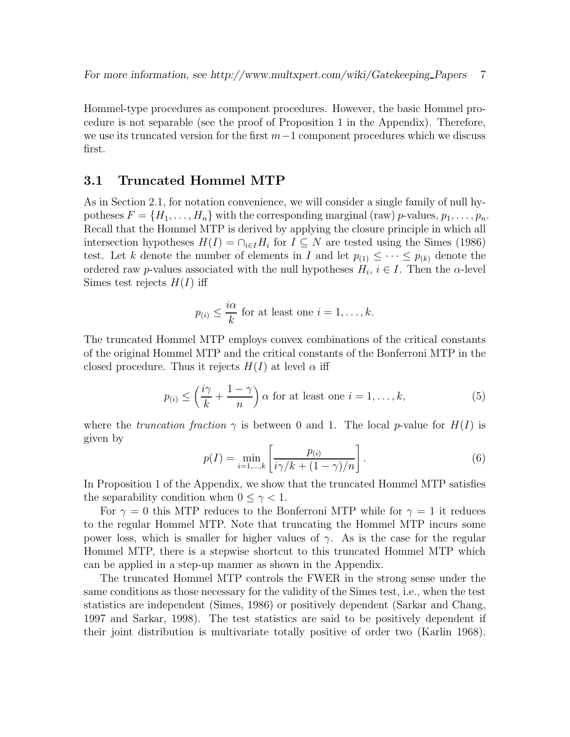Hommel-type procedures as component procedures. However, the basic Hommel procedure is not separable (see the proof of Proposition 1 in the Appendix). Therefore, we use its truncated version for the first  $m-1$  component procedures which we discuss first.

### 3.1 Truncated Hommel MTP

As in Section 2.1, for notation convenience, we will consider a single family of null hypotheses  $F = \{H_1, \ldots, H_n\}$  with the corresponding marginal (raw) p-values,  $p_1, \ldots, p_n$ . Recall that the Hommel MTP is derived by applying the closure principle in which all intersection hypotheses  $H(I) = \bigcap_{i \in I} H_i$  for  $I \subseteq N$  are tested using the Simes (1986) test. Let k denote the number of elements in I and let  $p_{(1)} \leq \cdots \leq p_{(k)}$  denote the ordered raw p-values associated with the null hypotheses  $H_i$ ,  $i \in I$ . Then the  $\alpha$ -level Simes test rejects  $H(I)$  iff

$$
p_{(i)} \leq \frac{i\alpha}{k}
$$
 for at least one  $i = 1, ..., k$ .

The truncated Hommel MTP employs convex combinations of the critical constants of the original Hommel MTP and the critical constants of the Bonferroni MTP in the closed procedure. Thus it rejects  $H(I)$  at level  $\alpha$  iff

$$
p_{(i)} \le \left(\frac{i\gamma}{k} + \frac{1-\gamma}{n}\right) \alpha \text{ for at least one } i = 1, \dots, k,
$$
 (5)

where the truncation fraction  $\gamma$  is between 0 and 1. The local p-value for  $H(I)$  is given by

$$
p(I) = \min_{i=1,\dots,k} \left[ \frac{p_{(i)}}{i\gamma/k + (1-\gamma)/n} \right].
$$
 (6)

In Proposition 1 of the Appendix, we show that the truncated Hommel MTP satisfies the separability condition when  $0 \leq \gamma < 1$ .

For  $\gamma = 0$  this MTP reduces to the Bonferroni MTP while for  $\gamma = 1$  it reduces to the regular Hommel MTP. Note that truncating the Hommel MTP incurs some power loss, which is smaller for higher values of  $\gamma$ . As is the case for the regular Hommel MTP, there is a stepwise shortcut to this truncated Hommel MTP which can be applied in a step-up manner as shown in the Appendix.

The truncated Hommel MTP controls the FWER in the strong sense under the same conditions as those necessary for the validity of the Simes test, i.e., when the test statistics are independent (Simes, 1986) or positively dependent (Sarkar and Chang, 1997 and Sarkar, 1998). The test statistics are said to be positively dependent if their joint distribution is multivariate totally positive of order two (Karlin 1968).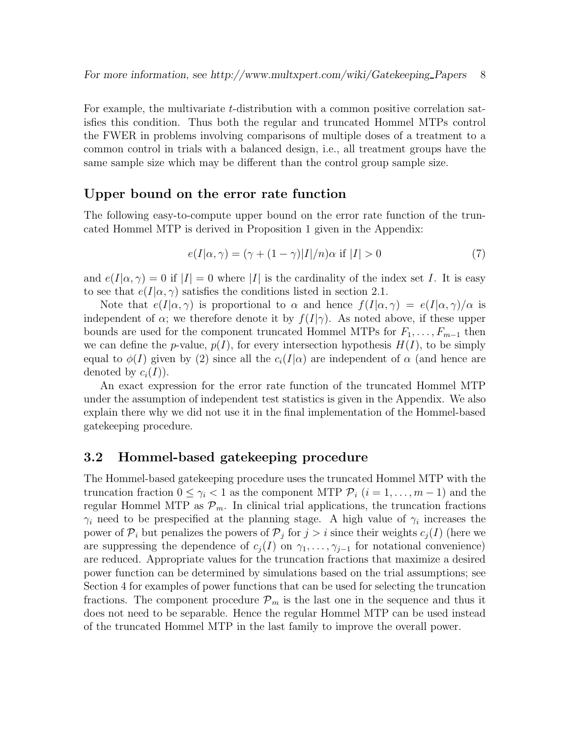For example, the multivariate t-distribution with a common positive correlation satisfies this condition. Thus both the regular and truncated Hommel MTPs control the FWER in problems involving comparisons of multiple doses of a treatment to a common control in trials with a balanced design, i.e., all treatment groups have the same sample size which may be different than the control group sample size.

### Upper bound on the error rate function

The following easy-to-compute upper bound on the error rate function of the truncated Hommel MTP is derived in Proposition 1 given in the Appendix:

$$
e(I|\alpha, \gamma) = (\gamma + (1 - \gamma)|I|/n)\alpha \text{ if } |I| > 0 \tag{7}
$$

and  $e(I|\alpha, \gamma) = 0$  if  $|I| = 0$  where |I| is the cardinality of the index set I. It is easy to see that  $e(I|\alpha, \gamma)$  satisfies the conditions listed in section 2.1.

Note that  $e(I|\alpha, \gamma)$  is proportional to  $\alpha$  and hence  $f(I|\alpha, \gamma) = e(I|\alpha, \gamma)/\alpha$  is independent of  $\alpha$ ; we therefore denote it by  $f(I|\gamma)$ . As noted above, if these upper bounds are used for the component truncated Hommel MTPs for  $F_1, \ldots, F_{m-1}$  then we can define the p-value,  $p(I)$ , for every intersection hypothesis  $H(I)$ , to be simply equal to  $\phi(I)$  given by (2) since all the  $c_i(I|\alpha)$  are independent of  $\alpha$  (and hence are denoted by  $c_i(I)$ ).

An exact expression for the error rate function of the truncated Hommel MTP under the assumption of independent test statistics is given in the Appendix. We also explain there why we did not use it in the final implementation of the Hommel-based gatekeeping procedure.

### 3.2 Hommel-based gatekeeping procedure

The Hommel-based gatekeeping procedure uses the truncated Hommel MTP with the truncation fraction  $0 \leq \gamma_i < 1$  as the component MTP  $\mathcal{P}_i$   $(i = 1, \ldots, m-1)$  and the regular Hommel MTP as  $\mathcal{P}_m$ . In clinical trial applications, the truncation fractions  $\gamma_i$  need to be prespecified at the planning stage. A high value of  $\gamma_i$  increases the power of  $\mathcal{P}_i$  but penalizes the powers of  $\mathcal{P}_j$  for  $j > i$  since their weights  $c_j(I)$  (here we are suppressing the dependence of  $c_j(I)$  on  $\gamma_1, \ldots, \gamma_{j-1}$  for notational convenience) are reduced. Appropriate values for the truncation fractions that maximize a desired power function can be determined by simulations based on the trial assumptions; see Section 4 for examples of power functions that can be used for selecting the truncation fractions. The component procedure  $\mathcal{P}_m$  is the last one in the sequence and thus it does not need to be separable. Hence the regular Hommel MTP can be used instead of the truncated Hommel MTP in the last family to improve the overall power.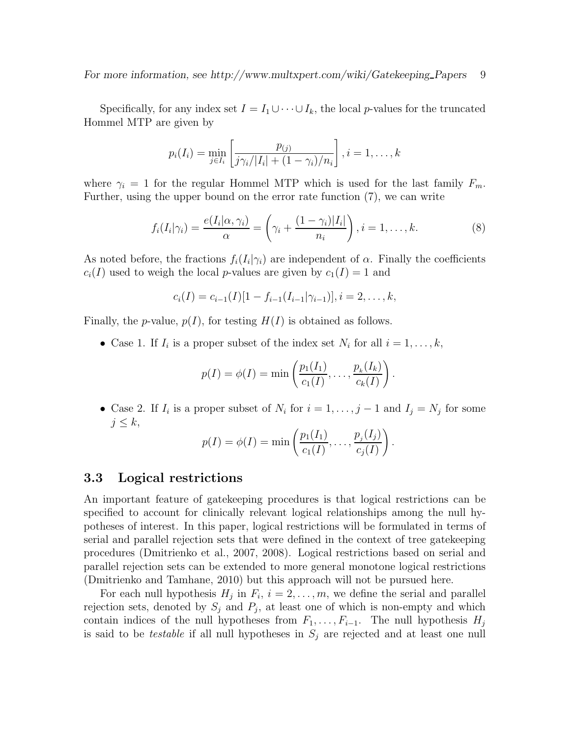Specifically, for any index set  $I = I_1 \cup \cdots \cup I_k$ , the local p-values for the truncated Hommel MTP are given by

$$
p_i(I_i) = \min_{j \in I_i} \left[ \frac{p_{(j)}}{j \gamma_i / |I_i| + (1 - \gamma_i) / n_i} \right], i = 1, ..., k
$$

where  $\gamma_i = 1$  for the regular Hommel MTP which is used for the last family  $F_m$ . Further, using the upper bound on the error rate function (7), we can write

$$
f_i(I_i|\gamma_i) = \frac{e(I_i|\alpha,\gamma_i)}{\alpha} = \left(\gamma_i + \frac{(1-\gamma_i)|I_i|}{n_i}\right), i = 1,\ldots,k.
$$
\n(8)

As noted before, the fractions  $f_i(I_i|\gamma_i)$  are independent of  $\alpha$ . Finally the coefficients  $c_i(I)$  used to weigh the local p-values are given by  $c_1(I) = 1$  and

$$
c_i(I) = c_{i-1}(I)[1 - f_{i-1}(I_{i-1}|\gamma_{i-1})], i = 2, \ldots, k,
$$

Finally, the *p*-value,  $p(I)$ , for testing  $H(I)$  is obtained as follows.

• Case 1. If  $I_i$  is a proper subset of the index set  $N_i$  for all  $i = 1, \ldots, k$ ,

$$
p(I) = \phi(I) = \min \left( \frac{p_1(I_1)}{c_1(I)}, \dots, \frac{p_k(I_k)}{c_k(I)} \right).
$$

• Case 2. If  $I_i$  is a proper subset of  $N_i$  for  $i = 1, \ldots, j - 1$  and  $I_j = N_j$  for some  $j \leq k$ ,

$$
p(I) = \phi(I) = \min\left(\frac{p_1(I_1)}{c_1(I)}, \dots, \frac{p_j(I_j)}{c_j(I)}\right)
$$

.

### 3.3 Logical restrictions

An important feature of gatekeeping procedures is that logical restrictions can be specified to account for clinically relevant logical relationships among the null hypotheses of interest. In this paper, logical restrictions will be formulated in terms of serial and parallel rejection sets that were defined in the context of tree gatekeeping procedures (Dmitrienko et al., 2007, 2008). Logical restrictions based on serial and parallel rejection sets can be extended to more general monotone logical restrictions (Dmitrienko and Tamhane, 2010) but this approach will not be pursued here.

For each null hypothesis  $H_j$  in  $F_i$ ,  $i = 2, \ldots, m$ , we define the serial and parallel rejection sets, denoted by  $S_j$  and  $P_j$ , at least one of which is non-empty and which contain indices of the null hypotheses from  $F_1, \ldots, F_{i-1}$ . The null hypothesis  $H_j$ is said to be *testable* if all null hypotheses in  $S_j$  are rejected and at least one null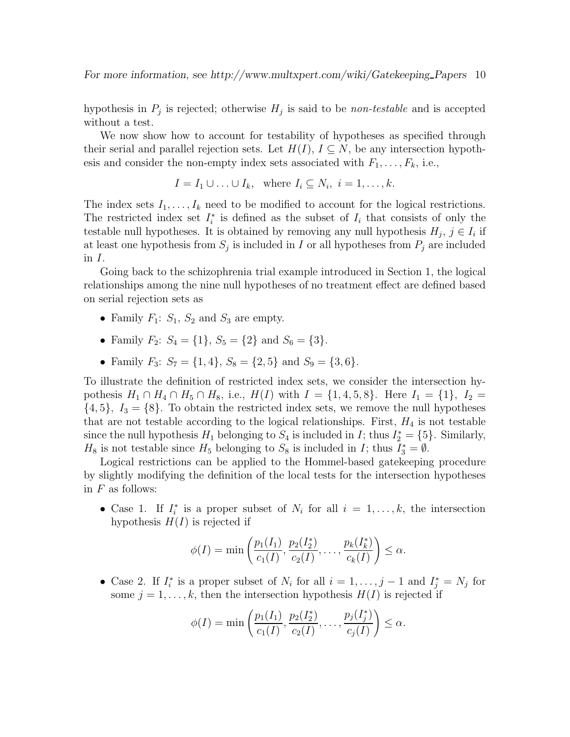hypothesis in  $P_j$  is rejected; otherwise  $H_j$  is said to be *non-testable* and is accepted without a test.

We now show how to account for testability of hypotheses as specified through their serial and parallel rejection sets. Let  $H(I), I \subseteq N$ , be any intersection hypothesis and consider the non-empty index sets associated with  $F_1, \ldots, F_k$ , i.e.,

$$
I = I_1 \cup \ldots \cup I_k, \text{ where } I_i \subseteq N_i, i = 1, \ldots, k.
$$

The index sets  $I_1, \ldots, I_k$  need to be modified to account for the logical restrictions. The restricted index set  $I_i^*$  is defined as the subset of  $I_i$  that consists of only the testable null hypotheses. It is obtained by removing any null hypothesis  $H_j$ ,  $j \in I_i$  if at least one hypothesis from  $S_j$  is included in I or all hypotheses from  $P_j$  are included in I.

Going back to the schizophrenia trial example introduced in Section 1, the logical relationships among the nine null hypotheses of no treatment effect are defined based on serial rejection sets as

- Family  $F_1: S_1, S_2$  and  $S_3$  are empty.
- Family  $F_2$ :  $S_4 = \{1\}$ ,  $S_5 = \{2\}$  and  $S_6 = \{3\}$ .
- Family  $F_3$ :  $S_7 = \{1, 4\}$ ,  $S_8 = \{2, 5\}$  and  $S_9 = \{3, 6\}$ .

To illustrate the definition of restricted index sets, we consider the intersection hypothesis  $H_1 \cap H_4 \cap H_5 \cap H_8$ , i.e.,  $H(I)$  with  $I = \{1, 4, 5, 8\}$ . Here  $I_1 = \{1\}$ ,  $I_2 =$  $\{4,5\}, I_3 = \{8\}.$  To obtain the restricted index sets, we remove the null hypotheses that are not testable according to the logical relationships. First,  $H_4$  is not testable since the null hypothesis  $H_1$  belonging to  $S_4$  is included in  $I$ ; thus  $I_2^* = \{5\}$ . Similarly,  $H_8$  is not testable since  $H_5$  belonging to  $S_8$  is included in I; thus  $I_3^* = \emptyset$ .

Logical restrictions can be applied to the Hommel-based gatekeeping procedure by slightly modifying the definition of the local tests for the intersection hypotheses in  $F$  as follows:

• Case 1. If  $I_i^*$  is a proper subset of  $N_i$  for all  $i = 1, \ldots, k$ , the intersection hypothesis  $H(I)$  is rejected if

$$
\phi(I) = \min\left(\frac{p_1(I_1)}{c_1(I)}, \frac{p_2(I_2^*)}{c_2(I)}, \dots, \frac{p_k(I_k^*)}{c_k(I)}\right) \le \alpha.
$$

• Case 2. If  $I_i^*$  is a proper subset of  $N_i$  for all  $i = 1, \ldots, j - 1$  and  $I_j^* = N_j$  for some  $j = 1, \ldots, k$ , then the intersection hypothesis  $H(I)$  is rejected if

$$
\phi(I) = \min\left(\frac{p_1(I_1)}{c_1(I)}, \frac{p_2(I_2^*)}{c_2(I)}, \dots, \frac{p_j(I_j^*)}{c_j(I)}\right) \le \alpha.
$$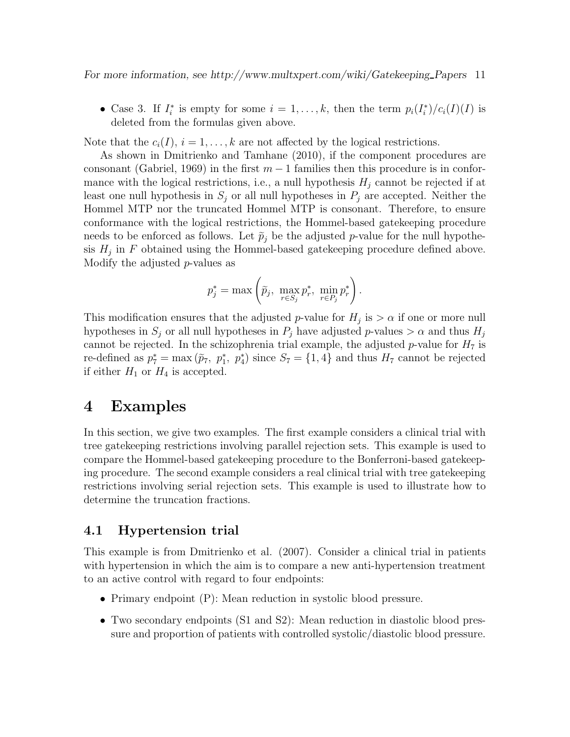For more information, see http://www.multxpert.com/wiki/Gatekeeping Papers 11

• Case 3. If  $I_i^*$  is empty for some  $i = 1, ..., k$ , then the term  $p_i(I_i^*)/c_i(I)(I)$  is deleted from the formulas given above.

Note that the  $c_i(I), i = 1, \ldots, k$  are not affected by the logical restrictions.

As shown in Dmitrienko and Tamhane (2010), if the component procedures are consonant (Gabriel, 1969) in the first  $m-1$  families then this procedure is in conformance with the logical restrictions, i.e., a null hypothesis  $H_j$  cannot be rejected if at least one null hypothesis in  $S_j$  or all null hypotheses in  $P_j$  are accepted. Neither the Hommel MTP nor the truncated Hommel MTP is consonant. Therefore, to ensure conformance with the logical restrictions, the Hommel-based gatekeeping procedure needs to be enforced as follows. Let  $\tilde{p}_i$  be the adjusted p-value for the null hypothesis  $H_j$  in F obtained using the Hommel-based gate keeping procedure defined above. Modify the adjusted p-values as

$$
p_j^* = \max\left(\tilde{p}_j, \ \max_{r \in S_j} p_r^*, \ \min_{r \in P_j} p_r^*\right).
$$

This modification ensures that the adjusted p-value for  $H_j$  is  $> \alpha$  if one or more null hypotheses in  $S_j$  or all null hypotheses in  $P_j$  have adjusted p-values  $> \alpha$  and thus  $H_j$ cannot be rejected. In the schizophrenia trial example, the adjusted p-value for  $H_7$  is re-defined as  $p_7^* = \max(\tilde{p}_7, p_1^*, p_4^*)$  since  $S_7 = \{1, 4\}$  and thus  $H_7$  cannot be rejected if either  $H_1$  or  $H_4$  is accepted.

## 4 Examples

In this section, we give two examples. The first example considers a clinical trial with tree gatekeeping restrictions involving parallel rejection sets. This example is used to compare the Hommel-based gatekeeping procedure to the Bonferroni-based gatekeeping procedure. The second example considers a real clinical trial with tree gatekeeping restrictions involving serial rejection sets. This example is used to illustrate how to determine the truncation fractions.

### 4.1 Hypertension trial

This example is from Dmitrienko et al. (2007). Consider a clinical trial in patients with hypertension in which the aim is to compare a new anti-hypertension treatment to an active control with regard to four endpoints:

- Primary endpoint (P): Mean reduction in systolic blood pressure.
- Two secondary endpoints (S1 and S2): Mean reduction in diastolic blood pressure and proportion of patients with controlled systolic/diastolic blood pressure.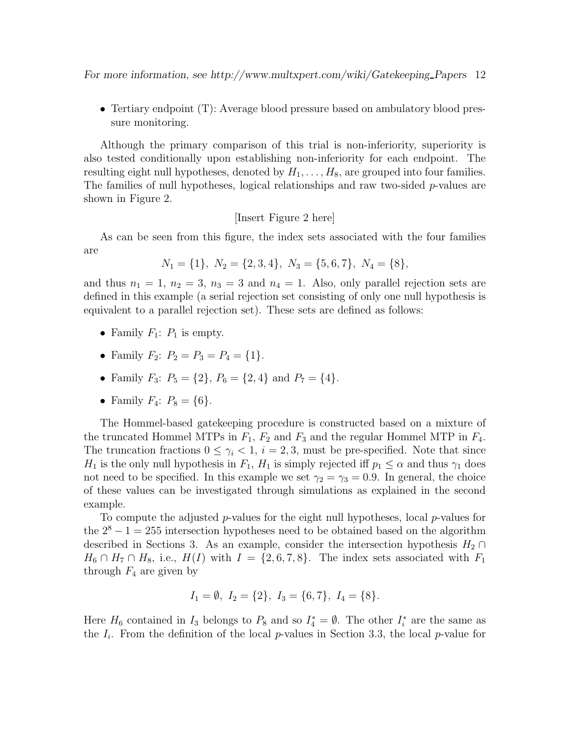For more information, see http://www.multxpert.com/wiki/Gatekeeping Papers 12

• Tertiary endpoint (T): Average blood pressure based on ambulatory blood pressure monitoring.

Although the primary comparison of this trial is non-inferiority, superiority is also tested conditionally upon establishing non-inferiority for each endpoint. The resulting eight null hypotheses, denoted by  $H_1, \ldots, H_8$ , are grouped into four families. The families of null hypotheses, logical relationships and raw two-sided  $p$ -values are shown in Figure 2.

#### [Insert Figure 2 here]

As can be seen from this figure, the index sets associated with the four families are

$$
N_1 = \{1\}, N_2 = \{2, 3, 4\}, N_3 = \{5, 6, 7\}, N_4 = \{8\},
$$

and thus  $n_1 = 1$ ,  $n_2 = 3$ ,  $n_3 = 3$  and  $n_4 = 1$ . Also, only parallel rejection sets are defined in this example (a serial rejection set consisting of only one null hypothesis is equivalent to a parallel rejection set). These sets are defined as follows:

- Family  $F_1$ :  $P_1$  is empty.
- Family  $F_2$ :  $P_2 = P_3 = P_4 = \{1\}.$
- Family  $F_3$ :  $P_5 = \{2\}$ ,  $P_6 = \{2, 4\}$  and  $P_7 = \{4\}$ .
- Family  $F_4$ :  $P_8 = \{6\}.$

The Hommel-based gatekeeping procedure is constructed based on a mixture of the truncated Hommel MTPs in  $F_1$ ,  $F_2$  and  $F_3$  and the regular Hommel MTP in  $F_4$ . The truncation fractions  $0 \leq \gamma_i < 1$ ,  $i = 2, 3$ , must be pre-specified. Note that since  $H_1$  is the only null hypothesis in  $F_1$ ,  $H_1$  is simply rejected iff  $p_1 \leq \alpha$  and thus  $\gamma_1$  does not need to be specified. In this example we set  $\gamma_2 = \gamma_3 = 0.9$ . In general, the choice of these values can be investigated through simulations as explained in the second example.

To compute the adjusted p-values for the eight null hypotheses, local p-values for the  $2^8 - 1 = 255$  intersection hypotheses need to be obtained based on the algorithm described in Sections 3. As an example, consider the intersection hypothesis  $H_2 \cap$  $H_6 \cap H_7 \cap H_8$ , i.e.,  $H(I)$  with  $I = \{2, 6, 7, 8\}$ . The index sets associated with  $F_1$ through  $F_4$  are given by

$$
I_1 = \emptyset
$$
,  $I_2 = \{2\}$ ,  $I_3 = \{6, 7\}$ ,  $I_4 = \{8\}$ .

Here  $H_6$  contained in  $I_3$  belongs to  $P_8$  and so  $I_4^* = \emptyset$ . The other  $I_i^*$  are the same as the  $I_i$ . From the definition of the local p-values in Section 3.3, the local p-value for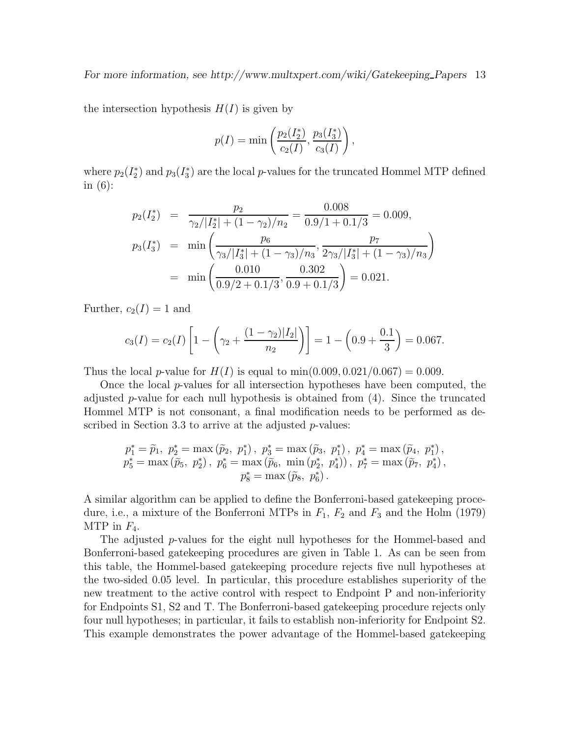the intersection hypothesis  $H(I)$  is given by

$$
p(I) = \min\left(\frac{p_2(I_2^*)}{c_2(I)}, \frac{p_3(I_3^*)}{c_3(I)}\right),\,
$$

where  $p_2(I_2^*)$  and  $p_3(I_3^*)$  are the local p-values for the truncated Hommel MTP defined in (6):

$$
p_2(I_2^*) = \frac{p_2}{\gamma_2/|I_2^*| + (1 - \gamma_2)/n_2} = \frac{0.008}{0.9/1 + 0.1/3} = 0.009,
$$
  
\n
$$
p_3(I_3^*) = \min\left(\frac{p_6}{\gamma_3/|I_3^*| + (1 - \gamma_3)/n_3}, \frac{p_7}{2\gamma_3/|I_3^*| + (1 - \gamma_3)/n_3}\right)
$$
  
\n
$$
= \min\left(\frac{0.010}{0.9/2 + 0.1/3}, \frac{0.302}{0.9 + 0.1/3}\right) = 0.021.
$$

Further,  $c_2(I) = 1$  and

$$
c_3(I) = c_2(I) \left[ 1 - \left( \gamma_2 + \frac{(1 - \gamma_2)|I_2|}{n_2} \right) \right] = 1 - \left( 0.9 + \frac{0.1}{3} \right) = 0.067.
$$

Thus the local *p*-value for  $H(I)$  is equal to min(0.009, 0.021/0.067) = 0.009.

Once the local p-values for all intersection hypotheses have been computed, the adjusted  $p$ -value for each null hypothesis is obtained from  $(4)$ . Since the truncated Hommel MTP is not consonant, a final modification needs to be performed as described in Section 3.3 to arrive at the adjusted  $p$ -values:

$$
p_1^* = \tilde{p}_1, p_2^* = \max (\tilde{p}_2, p_1^*), p_3^* = \max (\tilde{p}_3, p_1^*), p_4^* = \max (\tilde{p}_4, p_1^*),
$$
  
\n
$$
p_5^* = \max (\tilde{p}_5, p_2^*), p_6^* = \max (\tilde{p}_6, \min (p_2^*, p_4^*)), p_7^* = \max (\tilde{p}_7, p_4^*),
$$
  
\n
$$
p_8^* = \max (\tilde{p}_8, p_6^*).
$$

A similar algorithm can be applied to define the Bonferroni-based gatekeeping procedure, i.e., a mixture of the Bonferroni MTPs in  $F_1$ ,  $F_2$  and  $F_3$  and the Holm (1979) MTP in  $F_4$ .

The adjusted p-values for the eight null hypotheses for the Hommel-based and Bonferroni-based gatekeeping procedures are given in Table 1. As can be seen from this table, the Hommel-based gatekeeping procedure rejects five null hypotheses at the two-sided 0.05 level. In particular, this procedure establishes superiority of the new treatment to the active control with respect to Endpoint P and non-inferiority for Endpoints S1, S2 and T. The Bonferroni-based gatekeeping procedure rejects only four null hypotheses; in particular, it fails to establish non-inferiority for Endpoint S2. This example demonstrates the power advantage of the Hommel-based gatekeeping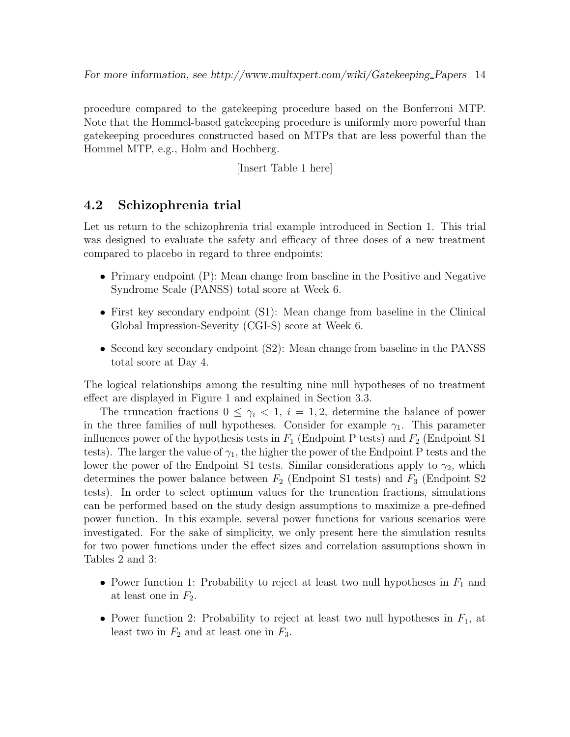procedure compared to the gatekeeping procedure based on the Bonferroni MTP. Note that the Hommel-based gatekeeping procedure is uniformly more powerful than gatekeeping procedures constructed based on MTPs that are less powerful than the Hommel MTP, e.g., Holm and Hochberg.

[Insert Table 1 here]

### 4.2 Schizophrenia trial

Let us return to the schizophrenia trial example introduced in Section 1. This trial was designed to evaluate the safety and efficacy of three doses of a new treatment compared to placebo in regard to three endpoints:

- Primary endpoint (P): Mean change from baseline in the Positive and Negative Syndrome Scale (PANSS) total score at Week 6.
- First key secondary endpoint (S1): Mean change from baseline in the Clinical Global Impression-Severity (CGI-S) score at Week 6.
- Second key secondary endpoint (S2): Mean change from baseline in the PANSS total score at Day 4.

The logical relationships among the resulting nine null hypotheses of no treatment effect are displayed in Figure 1 and explained in Section 3.3.

The truncation fractions  $0 \leq \gamma_i < 1$ ,  $i = 1, 2$ , determine the balance of power in the three families of null hypotheses. Consider for example  $\gamma_1$ . This parameter influences power of the hypothesis tests in  $F_1$  (Endpoint P tests) and  $F_2$  (Endpoint S1 tests). The larger the value of  $\gamma_1$ , the higher the power of the Endpoint P tests and the lower the power of the Endpoint S1 tests. Similar considerations apply to  $\gamma_2$ , which determines the power balance between  $F_2$  (Endpoint S1 tests) and  $F_3$  (Endpoint S2 tests). In order to select optimum values for the truncation fractions, simulations can be performed based on the study design assumptions to maximize a pre-defined power function. In this example, several power functions for various scenarios were investigated. For the sake of simplicity, we only present here the simulation results for two power functions under the effect sizes and correlation assumptions shown in Tables 2 and 3:

- Power function 1: Probability to reject at least two null hypotheses in  $F_1$  and at least one in  $F_2$ .
- Power function 2: Probability to reject at least two null hypotheses in  $F_1$ , at least two in  $F_2$  and at least one in  $F_3$ .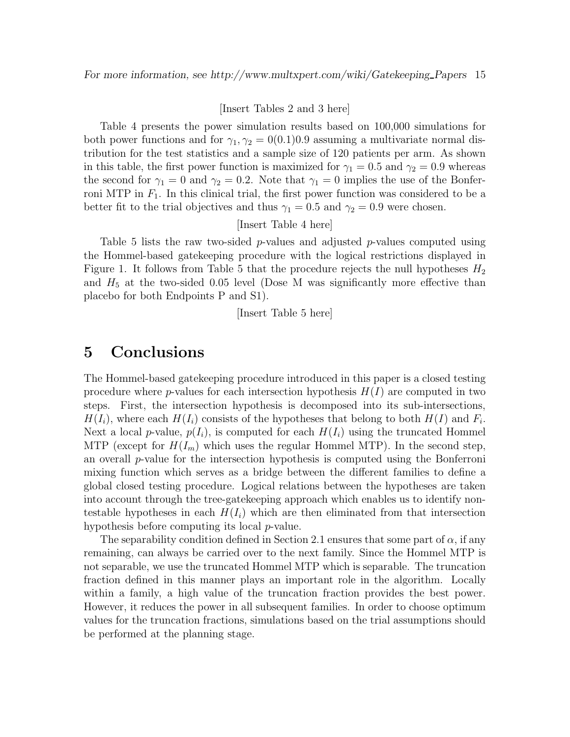#### [Insert Tables 2 and 3 here]

Table 4 presents the power simulation results based on 100,000 simulations for both power functions and for  $\gamma_1, \gamma_2 = 0(0.1)0.9$  assuming a multivariate normal distribution for the test statistics and a sample size of 120 patients per arm. As shown in this table, the first power function is maximized for  $\gamma_1 = 0.5$  and  $\gamma_2 = 0.9$  whereas the second for  $\gamma_1 = 0$  and  $\gamma_2 = 0.2$ . Note that  $\gamma_1 = 0$  implies the use of the Bonferroni MTP in  $F_1$ . In this clinical trial, the first power function was considered to be a better fit to the trial objectives and thus  $\gamma_1 = 0.5$  and  $\gamma_2 = 0.9$  were chosen.

#### [Insert Table 4 here]

Table 5 lists the raw two-sided p-values and adjusted p-values computed using the Hommel-based gatekeeping procedure with the logical restrictions displayed in Figure 1. It follows from Table 5 that the procedure rejects the null hypotheses  $H_2$ and  $H_5$  at the two-sided 0.05 level (Dose M was significantly more effective than placebo for both Endpoints P and S1).

[Insert Table 5 here]

## 5 Conclusions

The Hommel-based gatekeeping procedure introduced in this paper is a closed testing procedure where *p*-values for each intersection hypothesis  $H(I)$  are computed in two steps. First, the intersection hypothesis is decomposed into its sub-intersections,  $H(I_i)$ , where each  $H(I_i)$  consists of the hypotheses that belong to both  $H(I)$  and  $F_i$ . Next a local p-value,  $p(I_i)$ , is computed for each  $H(I_i)$  using the truncated Hommel MTP (except for  $H(I_m)$  which uses the regular Hommel MTP). In the second step, an overall p-value for the intersection hypothesis is computed using the Bonferroni mixing function which serves as a bridge between the different families to define a global closed testing procedure. Logical relations between the hypotheses are taken into account through the tree-gatekeeping approach which enables us to identify nontestable hypotheses in each  $H(I_i)$  which are then eliminated from that intersection hypothesis before computing its local p-value.

The separability condition defined in Section 2.1 ensures that some part of  $\alpha$ , if any remaining, can always be carried over to the next family. Since the Hommel MTP is not separable, we use the truncated Hommel MTP which is separable. The truncation fraction defined in this manner plays an important role in the algorithm. Locally within a family, a high value of the truncation fraction provides the best power. However, it reduces the power in all subsequent families. In order to choose optimum values for the truncation fractions, simulations based on the trial assumptions should be performed at the planning stage.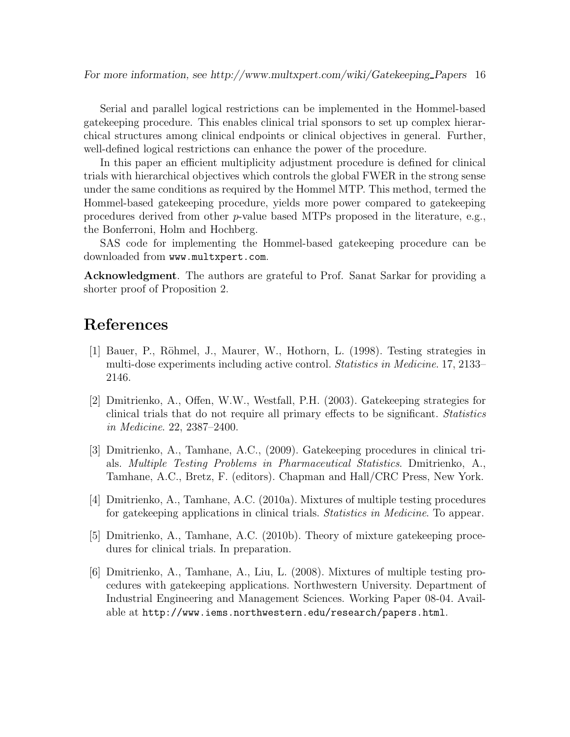Serial and parallel logical restrictions can be implemented in the Hommel-based gatekeeping procedure. This enables clinical trial sponsors to set up complex hierarchical structures among clinical endpoints or clinical objectives in general. Further, well-defined logical restrictions can enhance the power of the procedure.

In this paper an efficient multiplicity adjustment procedure is defined for clinical trials with hierarchical objectives which controls the global FWER in the strong sense under the same conditions as required by the Hommel MTP. This method, termed the Hommel-based gatekeeping procedure, yields more power compared to gatekeeping procedures derived from other p-value based MTPs proposed in the literature, e.g., the Bonferroni, Holm and Hochberg.

SAS code for implementing the Hommel-based gatekeeping procedure can be downloaded from www.multxpert.com.

Acknowledgment. The authors are grateful to Prof. Sanat Sarkar for providing a shorter proof of Proposition 2.

## References

- [1] Bauer, P., R¨ohmel, J., Maurer, W., Hothorn, L. (1998). Testing strategies in multi-dose experiments including active control. Statistics in Medicine. 17, 2133– 2146.
- [2] Dmitrienko, A., Offen, W.W., Westfall, P.H. (2003). Gatekeeping strategies for clinical trials that do not require all primary effects to be significant. Statistics in Medicine. 22, 2387–2400.
- [3] Dmitrienko, A., Tamhane, A.C., (2009). Gatekeeping procedures in clinical trials. Multiple Testing Problems in Pharmaceutical Statistics. Dmitrienko, A., Tamhane, A.C., Bretz, F. (editors). Chapman and Hall/CRC Press, New York.
- [4] Dmitrienko, A., Tamhane, A.C. (2010a). Mixtures of multiple testing procedures for gatekeeping applications in clinical trials. Statistics in Medicine. To appear.
- [5] Dmitrienko, A., Tamhane, A.C. (2010b). Theory of mixture gatekeeping procedures for clinical trials. In preparation.
- [6] Dmitrienko, A., Tamhane, A., Liu, L. (2008). Mixtures of multiple testing procedures with gatekeeping applications. Northwestern University. Department of Industrial Engineering and Management Sciences. Working Paper 08-04. Available at http://www.iems.northwestern.edu/research/papers.html.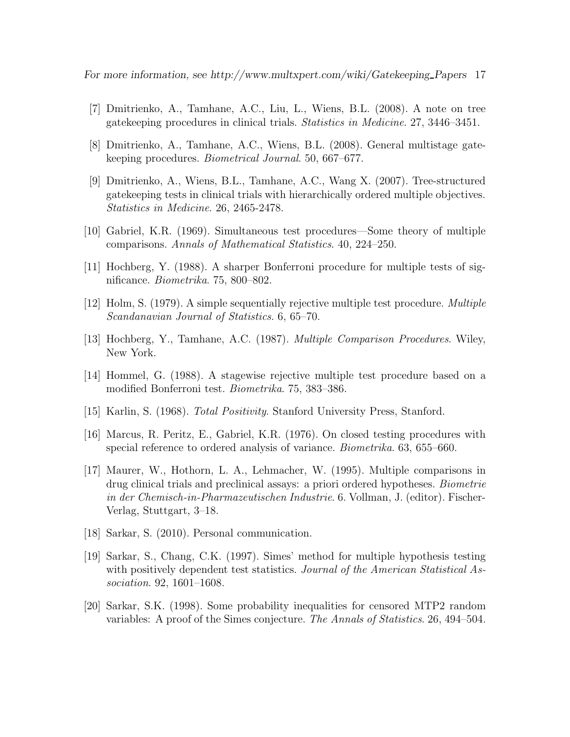For more information, see http://www.multxpert.com/wiki/Gatekeeping Papers 17

- [7] Dmitrienko, A., Tamhane, A.C., Liu, L., Wiens, B.L. (2008). A note on tree gatekeeping procedures in clinical trials. Statistics in Medicine. 27, 3446–3451.
- [8] Dmitrienko, A., Tamhane, A.C., Wiens, B.L. (2008). General multistage gatekeeping procedures. Biometrical Journal. 50, 667–677.
- [9] Dmitrienko, A., Wiens, B.L., Tamhane, A.C., Wang X. (2007). Tree-structured gatekeeping tests in clinical trials with hierarchically ordered multiple objectives. Statistics in Medicine. 26, 2465-2478.
- [10] Gabriel, K.R. (1969). Simultaneous test procedures—Some theory of multiple comparisons. Annals of Mathematical Statistics. 40, 224–250.
- [11] Hochberg, Y. (1988). A sharper Bonferroni procedure for multiple tests of significance. Biometrika. 75, 800–802.
- [12] Holm, S. (1979). A simple sequentially rejective multiple test procedure. Multiple Scandanavian Journal of Statistics. 6, 65–70.
- [13] Hochberg, Y., Tamhane, A.C. (1987). Multiple Comparison Procedures. Wiley, New York.
- [14] Hommel, G. (1988). A stagewise rejective multiple test procedure based on a modified Bonferroni test. Biometrika. 75, 383–386.
- [15] Karlin, S. (1968). Total Positivity. Stanford University Press, Stanford.
- [16] Marcus, R. Peritz, E., Gabriel, K.R. (1976). On closed testing procedures with special reference to ordered analysis of variance. Biometrika. 63, 655–660.
- [17] Maurer, W., Hothorn, L. A., Lehmacher, W. (1995). Multiple comparisons in drug clinical trials and preclinical assays: a priori ordered hypotheses. Biometrie in der Chemisch-in-Pharmazeutischen Industrie. 6. Vollman, J. (editor). Fischer-Verlag, Stuttgart, 3–18.
- [18] Sarkar, S. (2010). Personal communication.
- [19] Sarkar, S., Chang, C.K. (1997). Simes' method for multiple hypothesis testing with positively dependent test statistics. Journal of the American Statistical Association. 92, 1601–1608.
- [20] Sarkar, S.K. (1998). Some probability inequalities for censored MTP2 random variables: A proof of the Simes conjecture. The Annals of Statistics. 26, 494–504.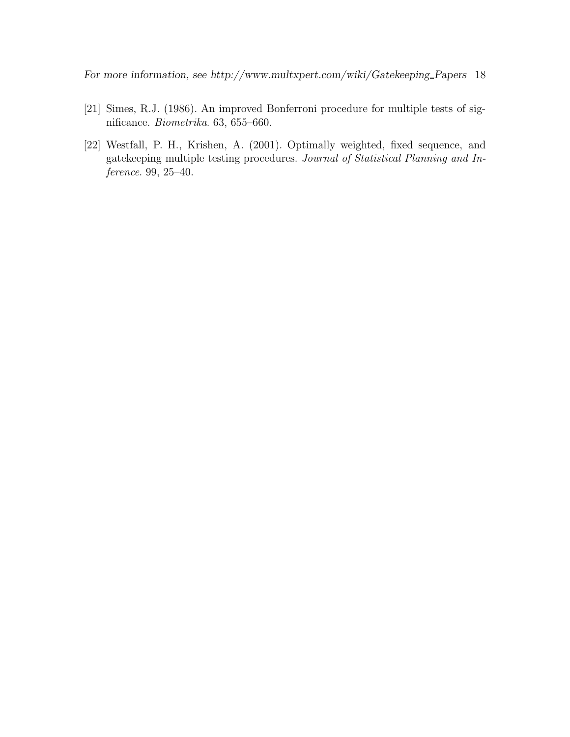For more information, see http://www.multxpert.com/wiki/Gatekeeping Papers 18

- [21] Simes, R.J. (1986). An improved Bonferroni procedure for multiple tests of significance. Biometrika. 63, 655–660.
- [22] Westfall, P. H., Krishen, A. (2001). Optimally weighted, fixed sequence, and gatekeeping multiple testing procedures. Journal of Statistical Planning and Inference. 99, 25–40.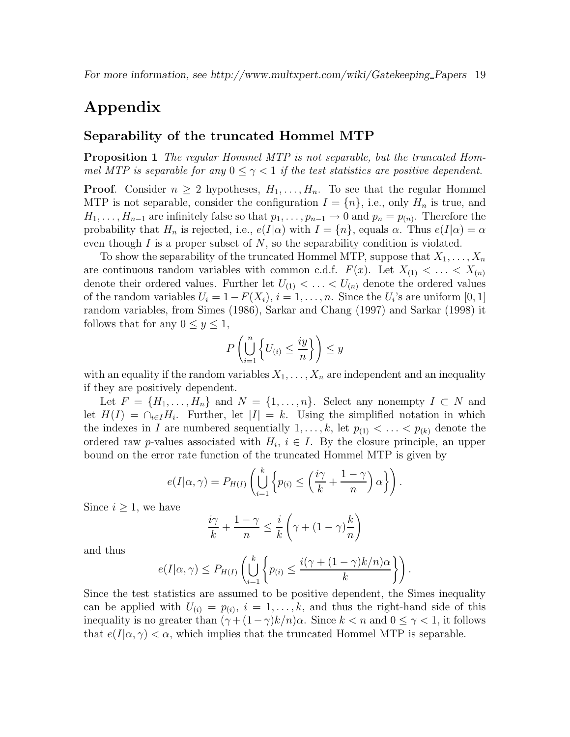## Appendix

#### Separability of the truncated Hommel MTP

Proposition 1 The regular Hommel MTP is not separable, but the truncated Hommel MTP is separable for any  $0 \leq \gamma < 1$  if the test statistics are positive dependent.

**Proof.** Consider  $n \geq 2$  hypotheses,  $H_1, \ldots, H_n$ . To see that the regular Hommel MTP is not separable, consider the configuration  $I = \{n\}$ , i.e., only  $H_n$  is true, and  $H_1, \ldots, H_{n-1}$  are infinitely false so that  $p_1, \ldots, p_{n-1} \to 0$  and  $p_n = p_{(n)}$ . Therefore the probability that  $H_n$  is rejected, i.e.,  $e(I|\alpha)$  with  $I = \{n\}$ , equals  $\alpha$ . Thus  $e(I|\alpha) = \alpha$ even though  $I$  is a proper subset of  $N$ , so the separability condition is violated.

To show the separability of the truncated Hommel MTP, suppose that  $X_1, \ldots, X_n$ are continuous random variables with common c.d.f.  $F(x)$ . Let  $X_{(1)} < \ldots < X_{(n)}$ denote their ordered values. Further let  $U_{(1)} < \ldots < U_{(n)}$  denote the ordered values of the random variables  $U_i = 1 - F(X_i)$ ,  $i = 1, ..., n$ . Since the  $U_i$ 's are uniform  $[0, 1]$ random variables, from Simes (1986), Sarkar and Chang (1997) and Sarkar (1998) it follows that for any  $0 \leq y \leq 1$ ,

$$
P\left(\bigcup_{i=1}^n \left\{U_{(i)} \le \frac{iy}{n}\right\}\right) \le y
$$

with an equality if the random variables  $X_1, \ldots, X_n$  are independent and an inequality if they are positively dependent.

Let  $F = \{H_1, \ldots, H_n\}$  and  $N = \{1, \ldots, n\}$ . Select any nonempty  $I \subset N$  and let  $H(I) = \bigcap_{i \in I} H_i$ . Further, let  $|I| = k$ . Using the simplified notation in which the indexes in I are numbered sequentially  $1, \ldots, k$ , let  $p_{(1)} < \ldots < p_{(k)}$  denote the ordered raw *p*-values associated with  $H_i$ ,  $i \in I$ . By the closure principle, an upper bound on the error rate function of the truncated Hommel MTP is given by

$$
e(I|\alpha,\gamma) = P_{H(I)}\left(\bigcup_{i=1}^k \left\{p_{(i)} \leq \left(\frac{i\gamma}{k} + \frac{1-\gamma}{n}\right)\alpha\right\}\right).
$$

Since  $i \geq 1$ , we have

$$
\frac{i\gamma}{k} + \frac{1-\gamma}{n} \le \frac{i}{k} \left(\gamma + (1-\gamma)\frac{k}{n}\right)
$$

and thus

$$
e(I|\alpha,\gamma) \le P_{H(I)}\left(\bigcup_{i=1}^k \left\{p_{(i)} \le \frac{i(\gamma + (1-\gamma)k/n)\alpha}{k}\right\}\right).
$$

Since the test statistics are assumed to be positive dependent, the Simes inequality can be applied with  $U_{(i)} = p_{(i)}$ ,  $i = 1, \ldots, k$ , and thus the right-hand side of this inequality is no greater than  $(\gamma + (1 - \gamma)k/n)\alpha$ . Since  $k < n$  and  $0 \leq \gamma < 1$ , it follows that  $e(I|\alpha, \gamma) < \alpha$ , which implies that the truncated Hommel MTP is separable.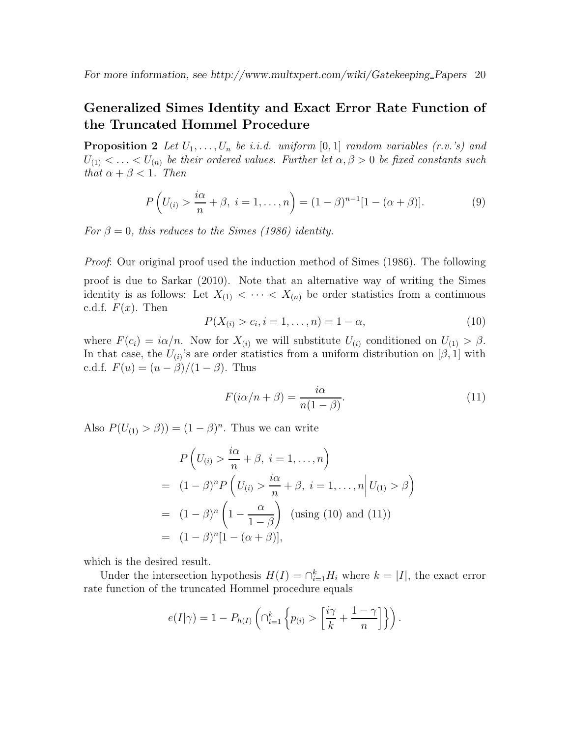## Generalized Simes Identity and Exact Error Rate Function of the Truncated Hommel Procedure

**Proposition 2** Let  $U_1, \ldots, U_n$  be i.i.d. uniform  $[0, 1]$  random variables  $(r.v.'s)$  and  $U_{(1)} < \ldots < U_{(n)}$  be their ordered values. Further let  $\alpha, \beta > 0$  be fixed constants such that  $\alpha + \beta < 1$ . Then

$$
P\left(U_{(i)} > \frac{i\alpha}{n} + \beta, \ i = 1, ..., n\right) = (1 - \beta)^{n-1}[1 - (\alpha + \beta)].\tag{9}
$$

For  $\beta = 0$ , this reduces to the Simes (1986) identity.

Proof: Our original proof used the induction method of Simes (1986). The following proof is due to Sarkar (2010). Note that an alternative way of writing the Simes identity is as follows: Let  $X_{(1)} < \cdots < X_{(n)}$  be order statistics from a continuous c.d.f.  $F(x)$ . Then

$$
P(X_{(i)} > c_i, i = 1, ..., n) = 1 - \alpha,
$$
\n(10)

where  $F(c_i) = i\alpha/n$ . Now for  $X_{(i)}$  we will substitute  $U_{(i)}$  conditioned on  $U_{(1)} > \beta$ . In that case, the  $U_{(i)}$ 's are order statistics from a uniform distribution on [ $\beta$ , 1] with c.d.f.  $F(u) = (u - \beta)/(1 - \beta)$ . Thus

$$
F(i\alpha/n + \beta) = \frac{i\alpha}{n(1 - \beta)}.
$$
\n(11)

Also  $P(U_{(1)} > \beta) = (1 - \beta)^n$ . Thus we can write

$$
P\left(U_{(i)} > \frac{i\alpha}{n} + \beta, i = 1, ..., n\right)
$$
  
=  $(1 - \beta)^n P\left(U_{(i)} > \frac{i\alpha}{n} + \beta, i = 1, ..., n | U_{(1)} > \beta\right)$   
=  $(1 - \beta)^n \left(1 - \frac{\alpha}{1 - \beta}\right)$  (using (10) and (11))  
=  $(1 - \beta)^n [1 - (\alpha + \beta)],$ 

which is the desired result.

Under the intersection hypothesis  $H(I) = \bigcap_{i=1}^{k} H_i$  where  $k = |I|$ , the exact error rate function of the truncated Hommel procedure equals

$$
e(I|\gamma) = 1 - P_{h(I)}\left(\bigcap_{i=1}^k \left\{p_{(i)} > \left[\frac{i\gamma}{k} + \frac{1-\gamma}{n}\right]\right\}\right).
$$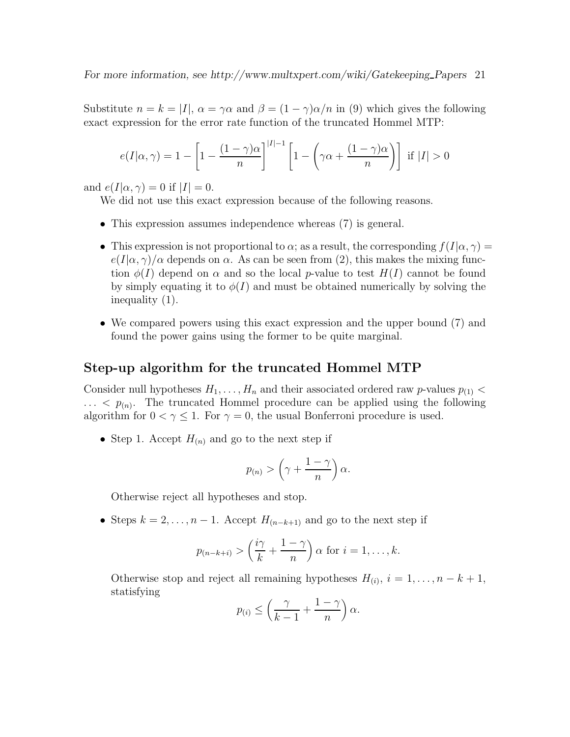Substitute  $n = k = |I|$ ,  $\alpha = \gamma \alpha$  and  $\beta = (1 - \gamma) \alpha / n$  in (9) which gives the following exact expression for the error rate function of the truncated Hommel MTP:

$$
e(I|\alpha,\gamma) = 1 - \left[1 - \frac{(1-\gamma)\alpha}{n}\right]^{|I|-1} \left[1 - \left(\gamma\alpha + \frac{(1-\gamma)\alpha}{n}\right)\right] \text{ if } |I| > 0
$$

and  $e(I|\alpha, \gamma) = 0$  if  $|I| = 0$ .

We did not use this exact expression because of the following reasons.

- This expression assumes independence whereas  $(7)$  is general.
- This expression is not proportional to  $\alpha$ ; as a result, the corresponding  $f(I|\alpha, \gamma) =$  $e(I|\alpha,\gamma)/\alpha$  depends on  $\alpha$ . As can be seen from (2), this makes the mixing function  $\phi(I)$  depend on  $\alpha$  and so the local p-value to test  $H(I)$  cannot be found by simply equating it to  $\phi(I)$  and must be obtained numerically by solving the inequality (1).
- We compared powers using this exact expression and the upper bound (7) and found the power gains using the former to be quite marginal.

#### Step-up algorithm for the truncated Hommel MTP

Consider null hypotheses  $H_1, \ldots, H_n$  and their associated ordered raw p-values  $p_{(1)}$  <  $\ldots$   $\langle p_{(n)} \rangle$ . The truncated Hommel procedure can be applied using the following algorithm for  $0 < \gamma \leq 1$ . For  $\gamma = 0$ , the usual Bonferroni procedure is used.

• Step 1. Accept  $H_{(n)}$  and go to the next step if

$$
p_{(n)} > \left(\gamma + \frac{1-\gamma}{n}\right)\alpha.
$$

Otherwise reject all hypotheses and stop.

• Steps  $k = 2, \ldots, n - 1$ . Accept  $H_{(n-k+1)}$  and go to the next step if

$$
p_{(n-k+i)} > \left(\frac{i\gamma}{k} + \frac{1-\gamma}{n}\right)\alpha
$$
 for  $i = 1, ..., k$ .

Otherwise stop and reject all remaining hypotheses  $H_{(i)}$ ,  $i = 1, ..., n - k + 1$ , statisfying

$$
p_{(i)} \le \left(\frac{\gamma}{k-1} + \frac{1-\gamma}{n}\right)\alpha.
$$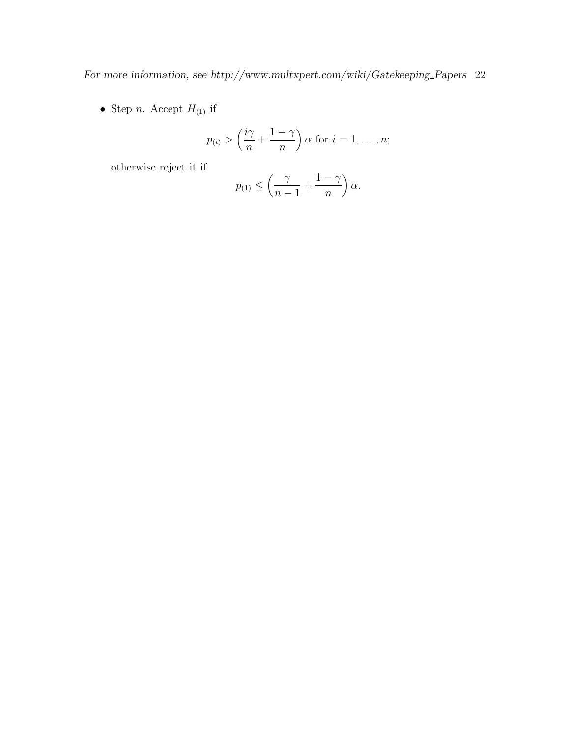For more information, see http://www.multxpert.com/wiki/Gatekeeping\_Papers 22  $\,$ 

• Step *n*. Accept  $H_{(1)}$  if

$$
p(i) > \left(\frac{i\gamma}{n} + \frac{1-\gamma}{n}\right)\alpha
$$
 for  $i = 1, ..., n$ ;

otherwise reject it if

$$
p_{(1)} \le \left(\frac{\gamma}{n-1} + \frac{1-\gamma}{n}\right)\alpha.
$$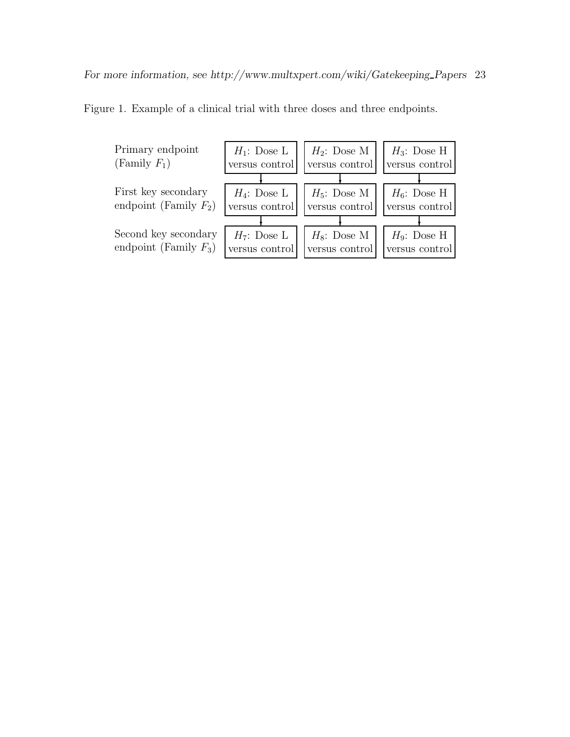

Figure 1. Example of a clinical trial with three doses and three endpoints.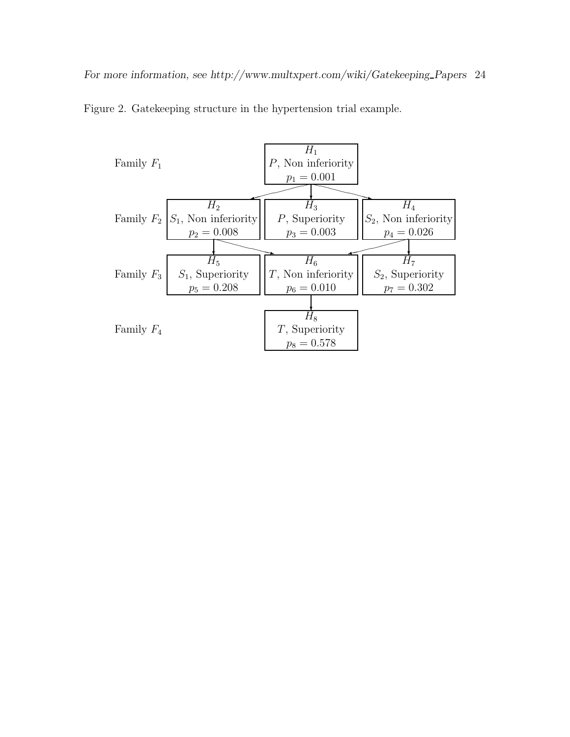

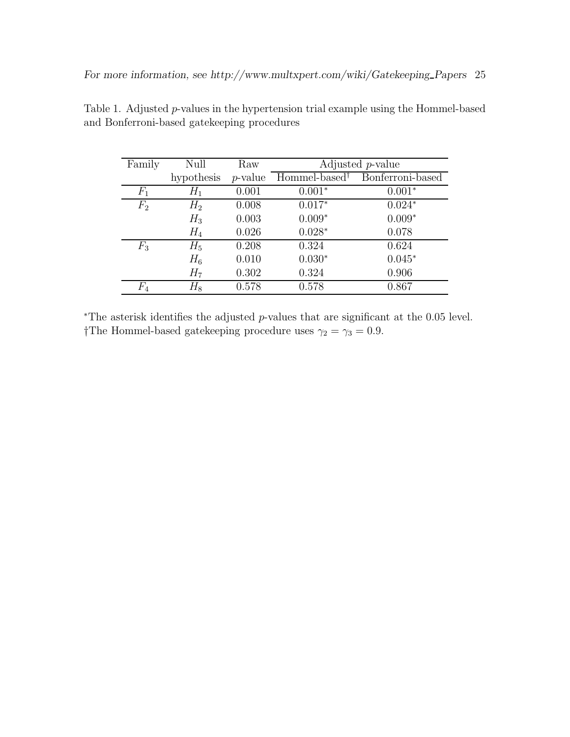| Family | Null       | Raw        |                           | Adjusted <i>p</i> -value |
|--------|------------|------------|---------------------------|--------------------------|
|        | hypothesis | $p$ -value | Hommel-based <sup>†</sup> | Bonferroni-based         |
| $F_1$  | $H_1$      | 0.001      | $0.001*$                  | $0.001*$                 |
| $F_2$  | $H_2$      | 0.008      | $0.017*$                  | $0.024*$                 |
|        | $H_3$      | 0.003      | $0.009*$                  | $0.009*$                 |
|        | $H_4$      | 0.026      | $0.028*$                  | 0.078                    |
| $F_3$  | $H_5$      | 0.208      | 0.324                     | 0.624                    |
|        | $H_6$      | 0.010      | $0.030*$                  | $0.045*$                 |
|        | $H_7$      | 0.302      | 0.324                     | 0.906                    |
| $F_4\$ | $H_8$      | 0.578      | 0.578                     | 0.867                    |

Table 1. Adjusted p-values in the hypertension trial example using the Hommel-based and Bonferroni-based gatekeeping procedures

<sup>∗</sup>The asterisk identifies the adjusted p-values that are significant at the 0.05 level. †The Hommel-based gatekeeping procedure uses  $\gamma_2 = \gamma_3 = 0.9$ .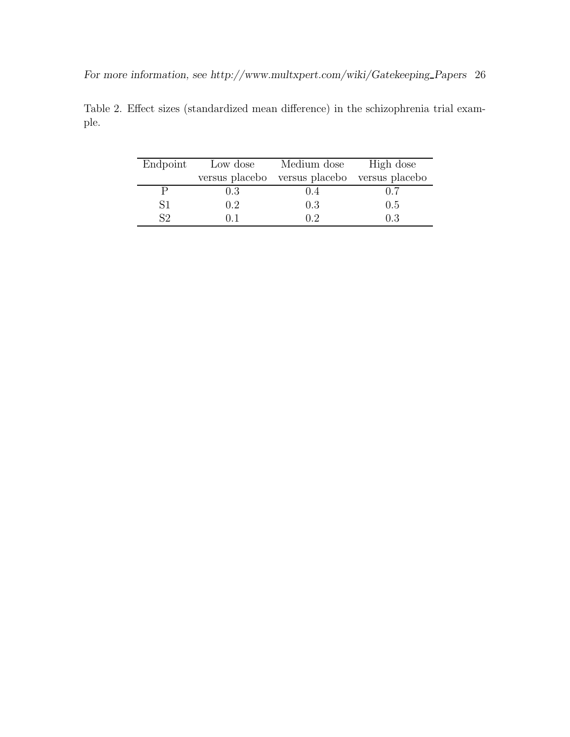| Endpoint                  | Low dose       | Medium dose                   | High dose |
|---------------------------|----------------|-------------------------------|-----------|
|                           | versus placebo | versus placebo versus placebo |           |
|                           | 0.3            | (1.4)                         | 0.7       |
| S1                        | $0.2^{\circ}$  | 0.3                           | 0.5       |
| $\mathsf{S}^{\mathsf{O}}$ |                |                               | 0.3       |

Table 2. Effect sizes (standardized mean difference) in the schizophrenia trial example.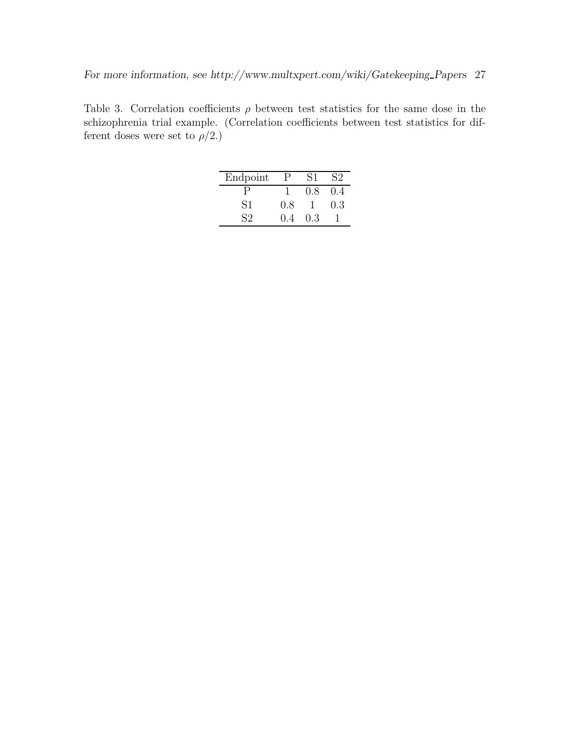Table 3. Correlation coefficients  $\rho$  between test statistics for the same dose in the schizophrenia trial example. (Correlation coefficients between test statistics for different doses were set to  $\rho/2$ .)

| Endpoint       | Р     | S1  | S2  |
|----------------|-------|-----|-----|
|                |       | 0.8 | 04  |
| S1             | 0.8   |     | 0.3 |
| S <sub>2</sub> | (1.4) | 0.3 |     |
|                |       |     |     |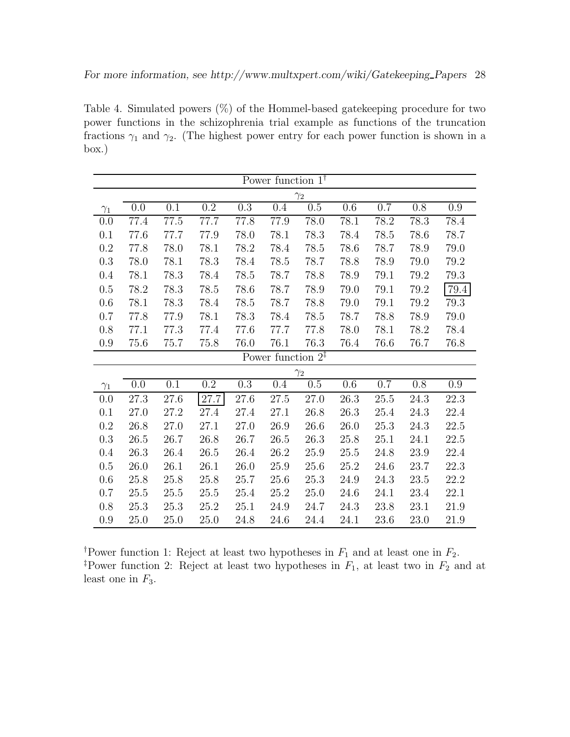Table 4. Simulated powers  $(\%)$  of the Hommel-based gatekeeping procedure for two power functions in the schizophrenia trial example as functions of the truncation fractions  $\gamma_1$  and  $\gamma_2$ . (The highest power entry for each power function is shown in a box.)

| Power function $1^{\dagger}$ |      |      |                  |                  |                               |            |          |      |      |          |
|------------------------------|------|------|------------------|------------------|-------------------------------|------------|----------|------|------|----------|
|                              |      |      |                  |                  |                               | $\gamma_2$ |          |      |      |          |
| $\gamma_1$                   | 0.0  | 0.1  | $\overline{0.2}$ | $\overline{0.3}$ | 0.4                           | 0.5        | 0.6      | 0.7  | 0.8  | 0.9      |
| 0.0                          | 77.4 | 77.5 | 77.7             | 77.8             | 77.9                          | 78.0       | 78.1     | 78.2 | 78.3 | 78.4     |
| 0.1                          | 77.6 | 77.7 | 77.9             | 78.0             | 78.1                          | 78.3       | 78.4     | 78.5 | 78.6 | 78.7     |
| $0.2\,$                      | 77.8 | 78.0 | 78.1             | 78.2             | 78.4                          | 78.5       | 78.6     | 78.7 | 78.9 | 79.0     |
| 0.3                          | 78.0 | 78.1 | 78.3             | 78.4             | 78.5                          | 78.7       | 78.8     | 78.9 | 79.0 | 79.2     |
| 0.4                          | 78.1 | 78.3 | 78.4             | 78.5             | 78.7                          | 78.8       | 78.9     | 79.1 | 79.2 | 79.3     |
| 0.5                          | 78.2 | 78.3 | 78.5             | 78.6             | 78.7                          | 78.9       | 79.0     | 79.1 | 79.2 | $79.4\,$ |
| 0.6                          | 78.1 | 78.3 | 78.4             | 78.5             | 78.7                          | 78.8       | 79.0     | 79.1 | 79.2 | 79.3     |
| 0.7                          | 77.8 | 77.9 | 78.1             | 78.3             | 78.4                          | 78.5       | 78.7     | 78.8 | 78.9 | 79.0     |
| 0.8                          | 77.1 | 77.3 | 77.4             | 77.6             | 77.7                          | 77.8       | 78.0     | 78.1 | 78.2 | 78.4     |
| 0.9                          | 75.6 | 75.7 | 75.8             | 76.0             | 76.1                          | 76.3       | 76.4     | 76.6 | 76.7 | 76.8     |
|                              |      |      |                  |                  | Power function $2^{\ddagger}$ |            |          |      |      |          |
|                              |      |      |                  |                  |                               | $\gamma_2$ |          |      |      |          |
| $\gamma_1$                   | 0.0  | 0.1  | $0.2\,$          | $0.3\,$          | 0.4                           | $0.5\,$    | 0.6      | 0.7  | 0.8  | $0.9\,$  |
| 0.0                          | 27.3 | 27.6 | 27.7             | 27.6             | 27.5                          | 27.0       | 26.3     | 25.5 | 24.3 | 22.3     |
| 0.1                          | 27.0 | 27.2 | 27.4             | 27.4             | 27.1                          | 26.8       | 26.3     | 25.4 | 24.3 | 22.4     |
| 0.2                          | 26.8 | 27.0 | 27.1             | 27.0             | 26.9                          | 26.6       | 26.0     | 25.3 | 24.3 | 22.5     |
| $0.3\,$                      | 26.5 | 26.7 | 26.8             | 26.7             | 26.5                          | 26.3       | $25.8\,$ | 25.1 | 24.1 | 22.5     |
| 0.4                          | 26.3 | 26.4 | $26.5\,$         | 26.4             | 26.2                          | 25.9       | $25.5\,$ | 24.8 | 23.9 | 22.4     |
| 0.5                          | 26.0 | 26.1 | 26.1             | 26.0             | 25.9                          | 25.6       | 25.2     | 24.6 | 23.7 | 22.3     |
| 0.6                          | 25.8 | 25.8 | 25.8             | 25.7             | $25.6\,$                      | 25.3       | 24.9     | 24.3 | 23.5 | 22.2     |
| 0.7                          | 25.5 | 25.5 | 25.5             | 25.4             | 25.2                          | 25.0       | 24.6     | 24.1 | 23.4 | 22.1     |
| 0.8                          | 25.3 | 25.3 | 25.2             | 25.1             | 24.9                          | 24.7       | 24.3     | 23.8 | 23.1 | 21.9     |
| 0.9                          | 25.0 | 25.0 | 25.0             | 24.8             | 24.6                          | $24.4\,$   | 24.1     | 23.6 | 23.0 | 21.9     |

<sup>†</sup>Power function 1: Reject at least two hypotheses in  $F_1$  and at least one in  $F_2$ . <sup>‡</sup>Power function 2: Reject at least two hypotheses in  $F_1$ , at least two in  $F_2$  and at least one in  $F_3$ .